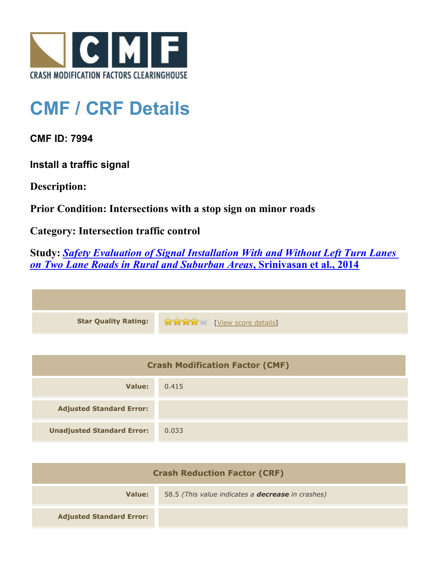

## **CMF / CRF Details**

**CMF ID: 7994**

**Install a traffic signal**

**Description:** 

**Prior Condition: Intersections with a stop sign on minor roads**

**Category: Intersection traffic control**

**Study:** *[Safety Evaluation of Signal Installation With and Without Left Turn Lanes](http://www.cmfclearinghouse.org/study_detail.cfm?stid=444) [on Two Lane Roads in Rural and Suburban Areas](http://www.cmfclearinghouse.org/study_detail.cfm?stid=444)***[, Srinivasan et al., 2014](http://www.cmfclearinghouse.org/study_detail.cfm?stid=444)**

| <b>Star Quality Rating:</b> | <b>EXAMPLE EXAMPLE [View score details]</b> |
|-----------------------------|---------------------------------------------|

| <b>Crash Modification Factor (CMF)</b> |       |
|----------------------------------------|-------|
| Value:                                 | 0.415 |
| <b>Adjusted Standard Error:</b>        |       |
| <b>Unadjusted Standard Error:</b>      | 0.033 |

| <b>Crash Reduction Factor (CRF)</b> |                                                          |
|-------------------------------------|----------------------------------------------------------|
| Value:                              | 58.5 (This value indicates a <b>decrease</b> in crashes) |
| <b>Adjusted Standard Error:</b>     |                                                          |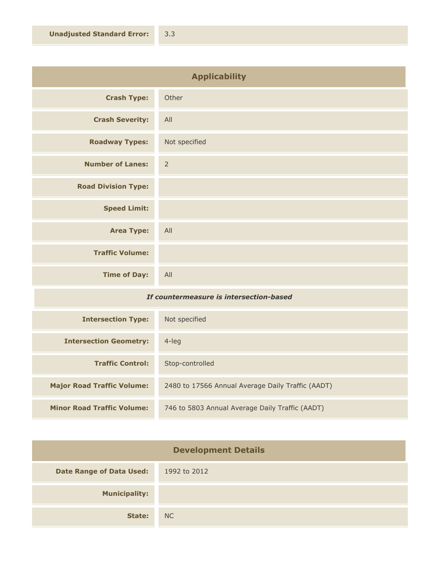| <b>Applicability</b>       |                |
|----------------------------|----------------|
| <b>Crash Type:</b>         | Other          |
| <b>Crash Severity:</b>     | All            |
| <b>Roadway Types:</b>      | Not specified  |
| <b>Number of Lanes:</b>    | $\overline{2}$ |
| <b>Road Division Type:</b> |                |
| <b>Speed Limit:</b>        |                |
| <b>Area Type:</b>          | All            |
| <b>Traffic Volume:</b>     |                |
| <b>Time of Day:</b>        | All            |

## *If countermeasure is intersection-based*

| <b>Intersection Type:</b>         | Not specified                                     |
|-----------------------------------|---------------------------------------------------|
| <b>Intersection Geometry:</b>     | 4-leg                                             |
| <b>Traffic Control:</b>           | Stop-controlled                                   |
| <b>Major Road Traffic Volume:</b> | 2480 to 17566 Annual Average Daily Traffic (AADT) |
| <b>Minor Road Traffic Volume:</b> | 746 to 5803 Annual Average Daily Traffic (AADT)   |

| <b>Development Details</b>      |              |
|---------------------------------|--------------|
| <b>Date Range of Data Used:</b> | 1992 to 2012 |
| <b>Municipality:</b>            |              |
| State:                          | NC           |